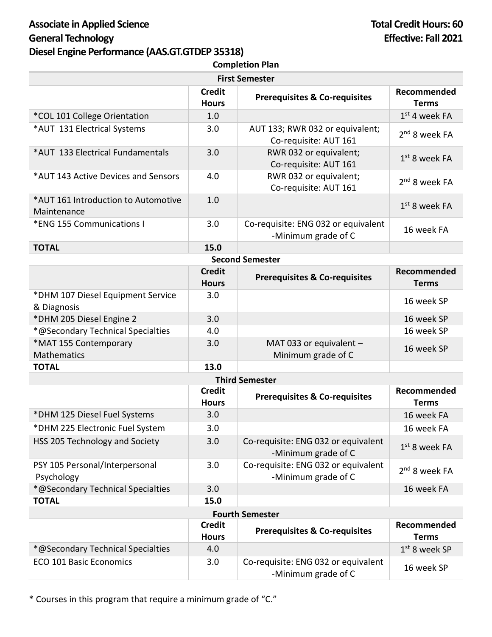## Associate in Applied Science **Total Credit Hours:** 60 **General Technology Effective: Fall 2021 Diesel Engine Performance (AAS.GT.GTDEP 35318)**

| <b>Completion Plan</b>                             |                               |                                                            |                             |  |
|----------------------------------------------------|-------------------------------|------------------------------------------------------------|-----------------------------|--|
| <b>First Semester</b>                              |                               |                                                            |                             |  |
|                                                    | <b>Credit</b><br><b>Hours</b> | <b>Prerequisites &amp; Co-requisites</b>                   | Recommended<br><b>Terms</b> |  |
| *COL 101 College Orientation                       | 1.0                           |                                                            | $1st$ 4 week FA             |  |
| *AUT 131 Electrical Systems                        | 3.0                           | AUT 133; RWR 032 or equivalent;<br>Co-requisite: AUT 161   | 2 <sup>nd</sup> 8 week FA   |  |
| *AUT 133 Electrical Fundamentals                   | 3.0                           | RWR 032 or equivalent;<br>Co-requisite: AUT 161            | $1st$ 8 week FA             |  |
| *AUT 143 Active Devices and Sensors                | 4.0                           | RWR 032 or equivalent;<br>Co-requisite: AUT 161            | 2 <sup>nd</sup> 8 week FA   |  |
| *AUT 161 Introduction to Automotive<br>Maintenance | 1.0                           |                                                            | $1st$ 8 week FA             |  |
| *ENG 155 Communications I                          | 3.0                           | Co-requisite: ENG 032 or equivalent<br>-Minimum grade of C | 16 week FA                  |  |
| <b>TOTAL</b>                                       | 15.0                          |                                                            |                             |  |
| <b>Second Semester</b>                             |                               |                                                            |                             |  |
|                                                    | <b>Credit</b><br><b>Hours</b> | <b>Prerequisites &amp; Co-requisites</b>                   | Recommended<br><b>Terms</b> |  |
| *DHM 107 Diesel Equipment Service<br>& Diagnosis   | 3.0                           |                                                            | 16 week SP                  |  |
| *DHM 205 Diesel Engine 2                           | 3.0                           |                                                            | 16 week SP                  |  |
| *@Secondary Technical Specialties                  | 4.0                           |                                                            | 16 week SP                  |  |
| *MAT 155 Contemporary<br>Mathematics               | 3.0                           | MAT 033 or equivalent -<br>Minimum grade of C              | 16 week SP                  |  |
| <b>TOTAL</b>                                       | 13.0                          |                                                            |                             |  |
| <b>Third Semester</b>                              |                               |                                                            |                             |  |
|                                                    | <b>Credit</b><br><b>Hours</b> | <b>Prerequisites &amp; Co-requisites</b>                   | Recommended<br><b>Terms</b> |  |
| *DHM 125 Diesel Fuel Systems                       | 3.0                           |                                                            | 16 week FA                  |  |
| *DHM 225 Electronic Fuel System                    | 3.0                           |                                                            | 16 week FA                  |  |
| HSS 205 Technology and Society                     | 3.0                           | Co-requisite: ENG 032 or equivalent<br>-Minimum grade of C | $1st$ 8 week FA             |  |
| PSY 105 Personal/Interpersonal<br>Psychology       | 3.0                           | Co-requisite: ENG 032 or equivalent<br>-Minimum grade of C | 2 <sup>nd</sup> 8 week FA   |  |
| *@Secondary Technical Specialties                  | 3.0                           |                                                            | 16 week FA                  |  |
| <b>TOTAL</b>                                       | 15.0                          |                                                            |                             |  |
| <b>Fourth Semester</b>                             |                               |                                                            |                             |  |
|                                                    | <b>Credit</b><br><b>Hours</b> | <b>Prerequisites &amp; Co-requisites</b>                   | Recommended<br><b>Terms</b> |  |
| *@Secondary Technical Specialties                  | 4.0                           |                                                            | $1st$ 8 week SP             |  |
| <b>ECO 101 Basic Economics</b>                     | 3.0                           | Co-requisite: ENG 032 or equivalent<br>-Minimum grade of C | 16 week SP                  |  |

\* Courses in this program that require a minimum grade of "C."